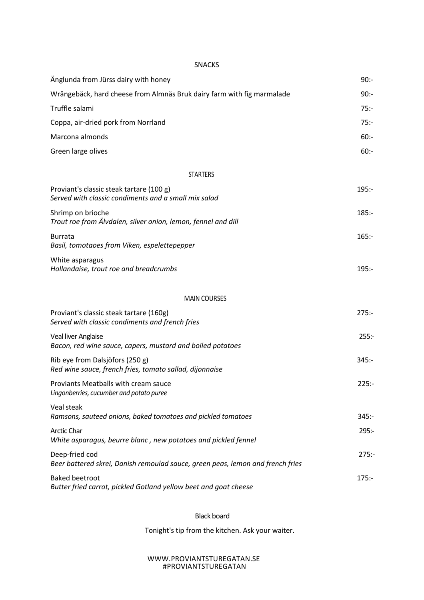SNACKS

| Änglunda from Jürss dairy with honey                                                             | $90: -$  |
|--------------------------------------------------------------------------------------------------|----------|
| Wrångebäck, hard cheese from Almnäs Bruk dairy farm with fig marmalade                           | $90: -$  |
| Truffle salami                                                                                   | $75: -$  |
| Coppa, air-dried pork from Norrland                                                              | $75: -$  |
| Marcona almonds                                                                                  | $60: -$  |
| Green large olives                                                                               | $60: -$  |
| <b>STARTERS</b>                                                                                  |          |
| Proviant's classic steak tartare (100 g)<br>Served with classic condiments and a small mix salad | $195: -$ |
| Shrimp on brioche<br>Trout roe from Älvdalen, silver onion, lemon, fennel and dill               | $185: -$ |
| <b>Burrata</b><br>Basil, tomotaoes from Viken, espelettepepper                                   | $165: -$ |
| White asparagus<br>Hollandaise, trout roe and breadcrumbs                                        | $195: -$ |
| <b>MAIN COURSES</b>                                                                              |          |
| Proviant's classic steak tartare (160g)<br>Served with classic condiments and french fries       | $275: -$ |
| Veal liver Anglaise<br>Bacon, red wine sauce, capers, mustard and boiled potatoes                | $255: -$ |
| Rib eye from Dalsjöfors (250 g)<br>Red wine sauce, french fries, tomato sallad, dijonnaise       | $345: -$ |
| Proviants Meatballs with cream sauce<br>Lingonberries, cucumber and potato puree                 | $225: -$ |
| Veal steak<br>Ramsons, sauteed onions, baked tomatoes and pickled tomatoes                       | $345: -$ |
| <b>Arctic Char</b><br>White asparagus, beurre blanc, new potatoes and pickled fennel             | $295: -$ |
| Deep-fried cod<br>Beer battered skrei, Danish remoulad sauce, green peas, lemon and french fries | 275:     |
| <b>Baked beetroot</b><br>Butter fried carrot, pickled Gotland yellow beet and goat cheese        | $175: -$ |

## Black board

Tonight's tip from the kitchen. Ask your waiter.

## WWW.PROVIANTSTUREGATAN.SE #PROVIANTSTUREGATAN